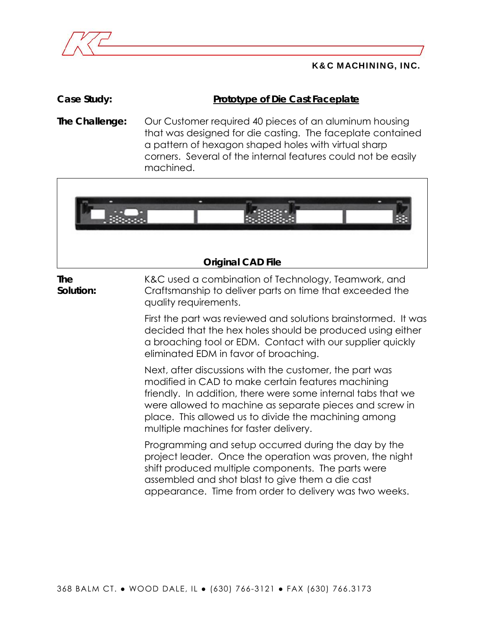

K&C MACHINING, INC.

**Case Study: Prototype of Die Cast Faceplate**

**The Challenge:** Our Customer required 40 pieces of an aluminum housing that was designed for die casting. The faceplate contained a pattern of hexagon shaped holes with virtual sharp corners. Several of the internal features could not be easily machined.



## **Original CAD File**

**The Solution:**  K&C used a combination of Technology, Teamwork, and Craftsmanship to deliver parts on time that exceeded the quality requirements.

> First the part was reviewed and solutions brainstormed. It was decided that the hex holes should be produced using either a broaching tool or EDM. Contact with our supplier quickly eliminated EDM in favor of broaching.

Next, after discussions with the customer, the part was modified in CAD to make certain features machining friendly. In addition, there were some internal tabs that we were allowed to machine as separate pieces and screw in place. This allowed us to divide the machining among multiple machines for faster delivery.

Programming and setup occurred during the day by the project leader. Once the operation was proven, the night shift produced multiple components. The parts were assembled and shot blast to give them a die cast appearance. Time from order to delivery was two weeks.